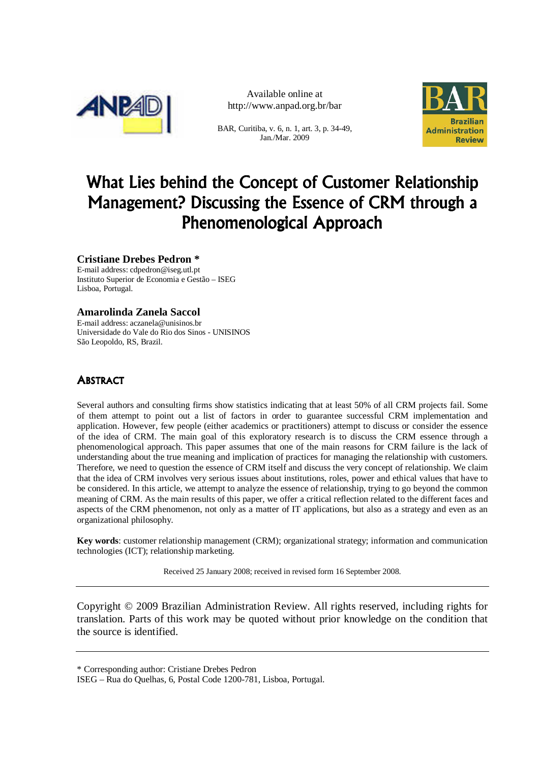

Available online at http://www.anpad.org.br/bar

BAR, Curitiba, v. 6, n. 1, art. 3, p. 34-49, Jan./Mar. 2009



# What Lies behind the Concept of Customer Relationship Management? Discussing the Essence of CRM through a Phenomenological Approach

**Cristiane Drebes Pedron \*** 

E-mail address: cdpedron@iseg.utl.pt Instituto Superior de Economia e Gestão – ISEG Lisboa, Portugal.

### **Amarolinda Zanela Saccol**

E-mail address: aczanela@unisinos.br Universidade do Vale do Rio dos Sinos - UNISINOS São Leopoldo, RS, Brazil.

# ABSTRACT

Several authors and consulting firms show statistics indicating that at least 50% of all CRM projects fail. Some of them attempt to point out a list of factors in order to guarantee successful CRM implementation and application. However, few people (either academics or practitioners) attempt to discuss or consider the essence of the idea of CRM. The main goal of this exploratory research is to discuss the CRM essence through a phenomenological approach. This paper assumes that one of the main reasons for CRM failure is the lack of understanding about the true meaning and implication of practices for managing the relationship with customers. Therefore, we need to question the essence of CRM itself and discuss the very concept of relationship. We claim that the idea of CRM involves very serious issues about institutions, roles, power and ethical values that have to be considered. In this article, we attempt to analyze the essence of relationship, trying to go beyond the common meaning of CRM. As the main results of this paper, we offer a critical reflection related to the different faces and aspects of the CRM phenomenon, not only as a matter of IT applications, but also as a strategy and even as an organizational philosophy.

**Key words**: customer relationship management (CRM); organizational strategy; information and communication technologies (ICT); relationship marketing.

Received 25 January 2008; received in revised form 16 September 2008.

Copyright © 2009 Brazilian Administration Review. All rights reserved, including rights for translation. Parts of this work may be quoted without prior knowledge on the condition that the source is identified.

<sup>\*</sup> Corresponding author: Cristiane Drebes Pedron

ISEG – Rua do Quelhas, 6, Postal Code 1200-781, Lisboa, Portugal.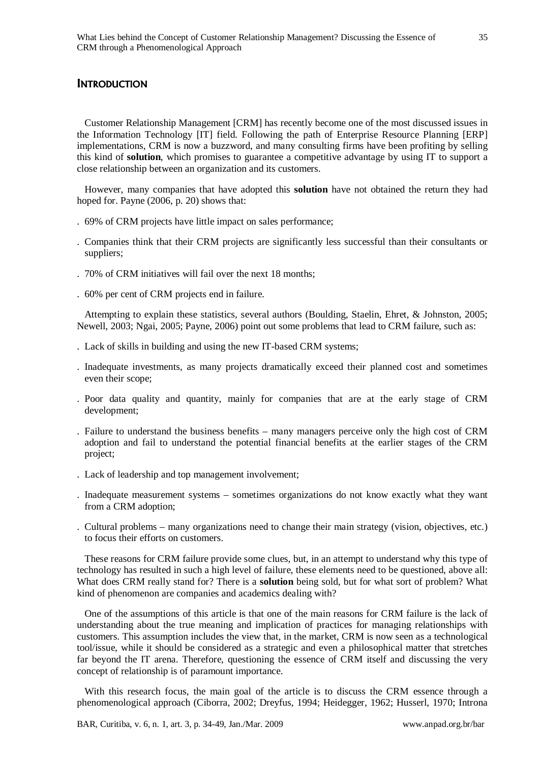## **INTRODUCTION**

Customer Relationship Management [CRM] has recently become one of the most discussed issues in the Information Technology [IT] field. Following the path of Enterprise Resource Planning [ERP] implementations, CRM is now a buzzword, and many consulting firms have been profiting by selling this kind of **solution**, which promises to guarantee a competitive advantage by using IT to support a close relationship between an organization and its customers.

However, many companies that have adopted this **solution** have not obtained the return they had hoped for. Payne (2006, p. 20) shows that:

- . 69% of CRM projects have little impact on sales performance;
- . Companies think that their CRM projects are significantly less successful than their consultants or suppliers;
- . 70% of CRM initiatives will fail over the next 18 months;
- . 60% per cent of CRM projects end in failure.

Attempting to explain these statistics, several authors (Boulding, Staelin, Ehret, & Johnston, 2005; Newell, 2003; Ngai, 2005; Payne, 2006) point out some problems that lead to CRM failure, such as:

- . Lack of skills in building and using the new IT-based CRM systems;
- . Inadequate investments, as many projects dramatically exceed their planned cost and sometimes even their scope;
- . Poor data quality and quantity, mainly for companies that are at the early stage of CRM development;
- . Failure to understand the business benefits many managers perceive only the high cost of CRM adoption and fail to understand the potential financial benefits at the earlier stages of the CRM project;
- . Lack of leadership and top management involvement;
- . Inadequate measurement systems sometimes organizations do not know exactly what they want from a CRM adoption;
- . Cultural problems many organizations need to change their main strategy (vision, objectives, etc.) to focus their efforts on customers.

These reasons for CRM failure provide some clues, but, in an attempt to understand why this type of technology has resulted in such a high level of failure, these elements need to be questioned, above all: What does CRM really stand for? There is a **solution** being sold, but for what sort of problem? What kind of phenomenon are companies and academics dealing with?

One of the assumptions of this article is that one of the main reasons for CRM failure is the lack of understanding about the true meaning and implication of practices for managing relationships with customers. This assumption includes the view that, in the market, CRM is now seen as a technological tool/issue, while it should be considered as a strategic and even a philosophical matter that stretches far beyond the IT arena. Therefore, questioning the essence of CRM itself and discussing the very concept of relationship is of paramount importance.

With this research focus, the main goal of the article is to discuss the CRM essence through a phenomenological approach (Ciborra, 2002; Dreyfus, 1994; Heidegger, 1962; Husserl, 1970; Introna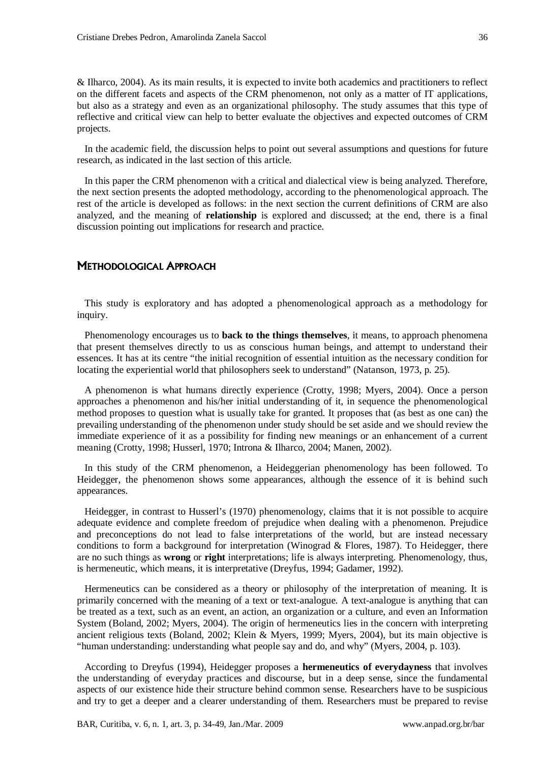& Ilharco, 2004). As its main results, it is expected to invite both academics and practitioners to reflect on the different facets and aspects of the CRM phenomenon, not only as a matter of IT applications, but also as a strategy and even as an organizational philosophy. The study assumes that this type of reflective and critical view can help to better evaluate the objectives and expected outcomes of CRM projects.

In the academic field, the discussion helps to point out several assumptions and questions for future research, as indicated in the last section of this article.

In this paper the CRM phenomenon with a critical and dialectical view is being analyzed. Therefore, the next section presents the adopted methodology, according to the phenomenological approach. The rest of the article is developed as follows: in the next section the current definitions of CRM are also analyzed, and the meaning of **relationship** is explored and discussed; at the end, there is a final discussion pointing out implications for research and practice.

#### METHODOLOGICAL APPROACH

This study is exploratory and has adopted a phenomenological approach as a methodology for inquiry.

Phenomenology encourages us to **back to the things themselves**, it means, to approach phenomena that present themselves directly to us as conscious human beings, and attempt to understand their essences. It has at its centre "the initial recognition of essential intuition as the necessary condition for locating the experiential world that philosophers seek to understand" (Natanson, 1973, p. 25).

A phenomenon is what humans directly experience (Crotty, 1998; Myers, 2004). Once a person approaches a phenomenon and his/her initial understanding of it, in sequence the phenomenological method proposes to question what is usually take for granted. It proposes that (as best as one can) the prevailing understanding of the phenomenon under study should be set aside and we should review the immediate experience of it as a possibility for finding new meanings or an enhancement of a current meaning (Crotty, 1998; Husserl, 1970; Introna & Ilharco, 2004; Manen, 2002).

In this study of the CRM phenomenon, a Heideggerian phenomenology has been followed. To Heidegger, the phenomenon shows some appearances, although the essence of it is behind such appearances.

Heidegger, in contrast to Husserl's (1970) phenomenology, claims that it is not possible to acquire adequate evidence and complete freedom of prejudice when dealing with a phenomenon. Prejudice and preconceptions do not lead to false interpretations of the world, but are instead necessary conditions to form a background for interpretation (Winograd & Flores, 1987). To Heidegger, there are no such things as **wrong** or **right** interpretations; life is always interpreting. Phenomenology, thus, is hermeneutic, which means, it is interpretative (Dreyfus, 1994; Gadamer, 1992).

Hermeneutics can be considered as a theory or philosophy of the interpretation of meaning. It is primarily concerned with the meaning of a text or text-analogue. A text-analogue is anything that can be treated as a text, such as an event, an action, an organization or a culture, and even an Information System (Boland, 2002; Myers, 2004). The origin of hermeneutics lies in the concern with interpreting ancient religious texts (Boland, 2002; Klein & Myers, 1999; Myers, 2004), but its main objective is "human understanding: understanding what people say and do, and why" (Myers, 2004, p. 103).

According to Dreyfus (1994), Heidegger proposes a **hermeneutics of everydayness** that involves the understanding of everyday practices and discourse, but in a deep sense, since the fundamental aspects of our existence hide their structure behind common sense. Researchers have to be suspicious and try to get a deeper and a clearer understanding of them. Researchers must be prepared to revise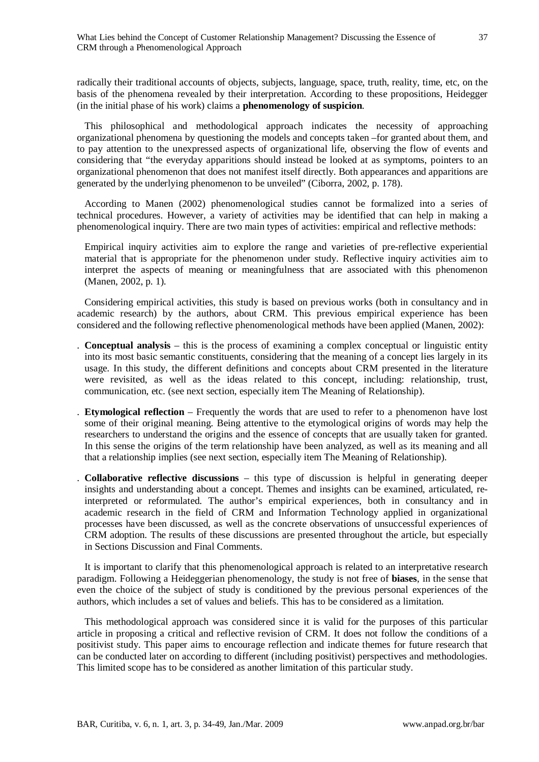radically their traditional accounts of objects, subjects, language, space, truth, reality, time, etc, on the basis of the phenomena revealed by their interpretation. According to these propositions, Heidegger (in the initial phase of his work) claims a **phenomenology of suspicion**.

This philosophical and methodological approach indicates the necessity of approaching organizational phenomena by questioning the models and concepts taken –for granted about them, and to pay attention to the unexpressed aspects of organizational life, observing the flow of events and considering that "the everyday apparitions should instead be looked at as symptoms, pointers to an organizational phenomenon that does not manifest itself directly. Both appearances and apparitions are generated by the underlying phenomenon to be unveiled" (Ciborra, 2002, p. 178).

According to Manen (2002) phenomenological studies cannot be formalized into a series of technical procedures. However, a variety of activities may be identified that can help in making a phenomenological inquiry. There are two main types of activities: empirical and reflective methods:

Empirical inquiry activities aim to explore the range and varieties of pre-reflective experiential material that is appropriate for the phenomenon under study. Reflective inquiry activities aim to interpret the aspects of meaning or meaningfulness that are associated with this phenomenon (Manen, 2002, p. 1).

Considering empirical activities, this study is based on previous works (both in consultancy and in academic research) by the authors, about CRM. This previous empirical experience has been considered and the following reflective phenomenological methods have been applied (Manen, 2002):

- . **Conceptual analysis** this is the process of examining a complex conceptual or linguistic entity into its most basic semantic constituents, considering that the meaning of a concept lies largely in its usage. In this study, the different definitions and concepts about CRM presented in the literature were revisited, as well as the ideas related to this concept, including: relationship, trust, communication, etc. (see next section, especially item The Meaning of Relationship).
- . **Etymological reflection** Frequently the words that are used to refer to a phenomenon have lost some of their original meaning. Being attentive to the etymological origins of words may help the researchers to understand the origins and the essence of concepts that are usually taken for granted. In this sense the origins of the term relationship have been analyzed, as well as its meaning and all that a relationship implies (see next section, especially item The Meaning of Relationship).
- . **Collaborative reflective discussions** this type of discussion is helpful in generating deeper insights and understanding about a concept. Themes and insights can be examined, articulated, reinterpreted or reformulated. The author's empirical experiences, both in consultancy and in academic research in the field of CRM and Information Technology applied in organizational processes have been discussed, as well as the concrete observations of unsuccessful experiences of CRM adoption. The results of these discussions are presented throughout the article, but especially in Sections Discussion and Final Comments.

It is important to clarify that this phenomenological approach is related to an interpretative research paradigm. Following a Heideggerian phenomenology, the study is not free of **biases**, in the sense that even the choice of the subject of study is conditioned by the previous personal experiences of the authors, which includes a set of values and beliefs. This has to be considered as a limitation.

This methodological approach was considered since it is valid for the purposes of this particular article in proposing a critical and reflective revision of CRM. It does not follow the conditions of a positivist study. This paper aims to encourage reflection and indicate themes for future research that can be conducted later on according to different (including positivist) perspectives and methodologies. This limited scope has to be considered as another limitation of this particular study.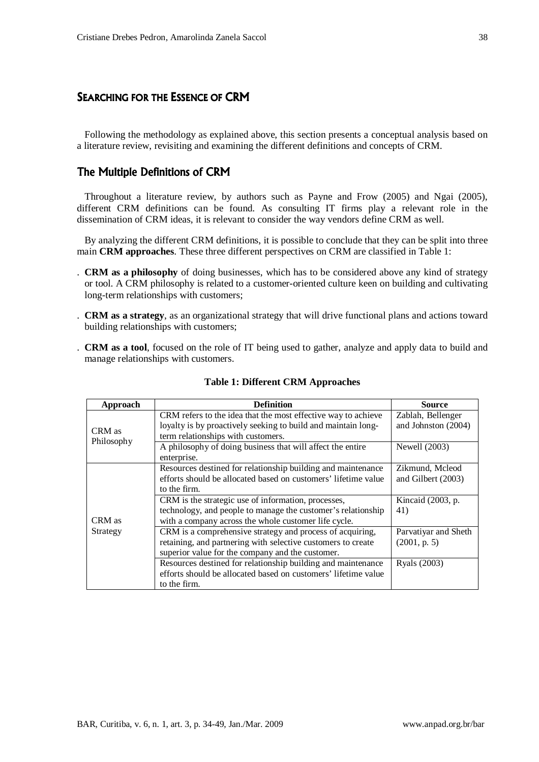# SEARCHING FOR THE ESSENCE OF CRM

Following the methodology as explained above, this section presents a conceptual analysis based on a literature review, revisiting and examining the different definitions and concepts of CRM.

## The Multiple Definitions of CRM

Throughout a literature review, by authors such as Payne and Frow (2005) and Ngai (2005), different CRM definitions can be found. As consulting IT firms play a relevant role in the dissemination of CRM ideas, it is relevant to consider the way vendors define CRM as well.

By analyzing the different CRM definitions, it is possible to conclude that they can be split into three main **CRM approaches**. These three different perspectives on CRM are classified in Table 1:

- . **CRM as a philosophy** of doing businesses, which has to be considered above any kind of strategy or tool. A CRM philosophy is related to a customer-oriented culture keen on building and cultivating long-term relationships with customers;
- . **CRM as a strategy**, as an organizational strategy that will drive functional plans and actions toward building relationships with customers;
- . **CRM as a tool**, focused on the role of IT being used to gather, analyze and apply data to build and manage relationships with customers.

| Approach             | <b>Definition</b>                                              | <b>Source</b>        |
|----------------------|----------------------------------------------------------------|----------------------|
| CRM as<br>Philosophy | CRM refers to the idea that the most effective way to achieve  | Zablah, Bellenger    |
|                      | loyalty is by proactively seeking to build and maintain long-  | and Johnston (2004)  |
|                      | term relationships with customers.                             |                      |
|                      | A philosophy of doing business that will affect the entire     | Newell (2003)        |
|                      | enterprise.                                                    |                      |
| CRM as<br>Strategy   | Resources destined for relationship building and maintenance   | Zikmund, Mcleod      |
|                      | efforts should be allocated based on customers' lifetime value | and Gilbert (2003)   |
|                      | to the firm.                                                   |                      |
|                      | CRM is the strategic use of information, processes,            | Kincaid (2003, p.    |
|                      | technology, and people to manage the customer's relationship   | 41)                  |
|                      | with a company across the whole customer life cycle.           |                      |
|                      | CRM is a comprehensive strategy and process of acquiring,      | Parvatiyar and Sheth |
|                      | retaining, and partnering with selective customers to create   | (2001, p. 5)         |
|                      | superior value for the company and the customer.               |                      |
|                      | Resources destined for relationship building and maintenance   | Ryals (2003)         |
|                      | efforts should be allocated based on customers' lifetime value |                      |
|                      | to the firm.                                                   |                      |

#### **Table 1: Different CRM Approaches**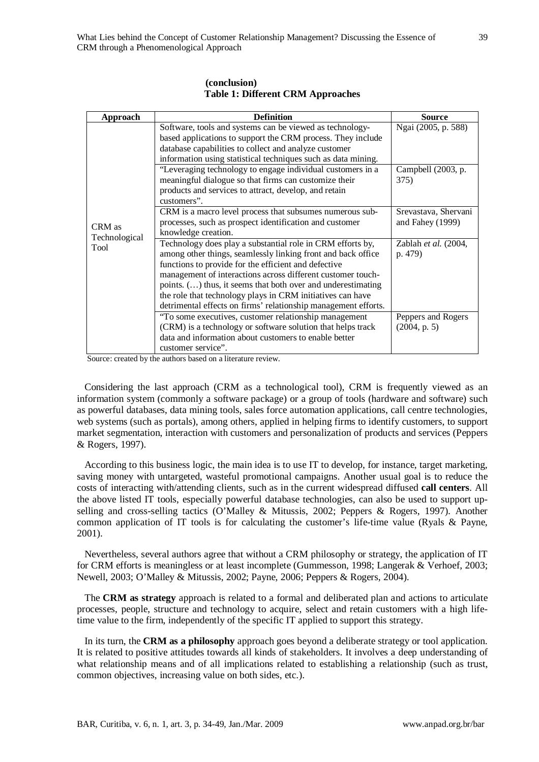| Approach                        | <b>Definition</b>                                              | <b>Source</b>        |
|---------------------------------|----------------------------------------------------------------|----------------------|
| CRM as<br>Technological<br>Tool | Software, tools and systems can be viewed as technology-       | Ngai (2005, p. 588)  |
|                                 | based applications to support the CRM process. They include    |                      |
|                                 | database capabilities to collect and analyze customer          |                      |
|                                 | information using statistical techniques such as data mining.  |                      |
|                                 | "Leveraging technology to engage individual customers in a     | Campbell (2003, p.   |
|                                 | meaningful dialogue so that firms can customize their          | 375)                 |
|                                 | products and services to attract, develop, and retain          |                      |
|                                 | customers".                                                    |                      |
|                                 | CRM is a macro level process that subsumes numerous sub-       | Srevastava, Shervani |
|                                 | processes, such as prospect identification and customer        | and Fahey $(1999)$   |
|                                 | knowledge creation.                                            |                      |
|                                 | Technology does play a substantial role in CRM efforts by,     | Zablah et al. (2004, |
|                                 | among other things, seamlessly linking front and back office   | p. 479)              |
|                                 | functions to provide for the efficient and defective           |                      |
|                                 | management of interactions across different customer touch-    |                      |
|                                 | points. () thus, it seems that both over and underestimating   |                      |
|                                 | the role that technology plays in CRM initiatives can have     |                      |
|                                 | detrimental effects on firms' relationship management efforts. |                      |
|                                 | "To some executives, customer relationship management          | Peppers and Rogers   |
|                                 | (CRM) is a technology or software solution that helps track    | (2004, p. 5)         |
|                                 | data and information about customers to enable better          |                      |
|                                 | customer service".                                             |                      |

#### **(conclusion) Table 1: Different CRM Approaches**

Source: created by the authors based on a literature review.

Considering the last approach (CRM as a technological tool), CRM is frequently viewed as an information system (commonly a software package) or a group of tools (hardware and software) such as powerful databases, data mining tools, sales force automation applications, call centre technologies, web systems (such as portals), among others, applied in helping firms to identify customers, to support market segmentation, interaction with customers and personalization of products and services (Peppers & Rogers, 1997).

According to this business logic, the main idea is to use IT to develop, for instance, target marketing, saving money with untargeted, wasteful promotional campaigns. Another usual goal is to reduce the costs of interacting with/attending clients, such as in the current widespread diffused **call centers**. All the above listed IT tools, especially powerful database technologies, can also be used to support upselling and cross-selling tactics (O'Malley & Mitussis, 2002; Peppers & Rogers, 1997). Another common application of IT tools is for calculating the customer's life-time value (Ryals & Payne, 2001).

Nevertheless, several authors agree that without a CRM philosophy or strategy, the application of IT for CRM efforts is meaningless or at least incomplete (Gummesson, 1998; Langerak & Verhoef, 2003; Newell, 2003; O'Malley & Mitussis, 2002; Payne, 2006; Peppers & Rogers, 2004).

The **CRM as strategy** approach is related to a formal and deliberated plan and actions to articulate processes, people, structure and technology to acquire, select and retain customers with a high lifetime value to the firm, independently of the specific IT applied to support this strategy.

In its turn, the **CRM as a philosophy** approach goes beyond a deliberate strategy or tool application. It is related to positive attitudes towards all kinds of stakeholders. It involves a deep understanding of what relationship means and of all implications related to establishing a relationship (such as trust, common objectives, increasing value on both sides, etc.).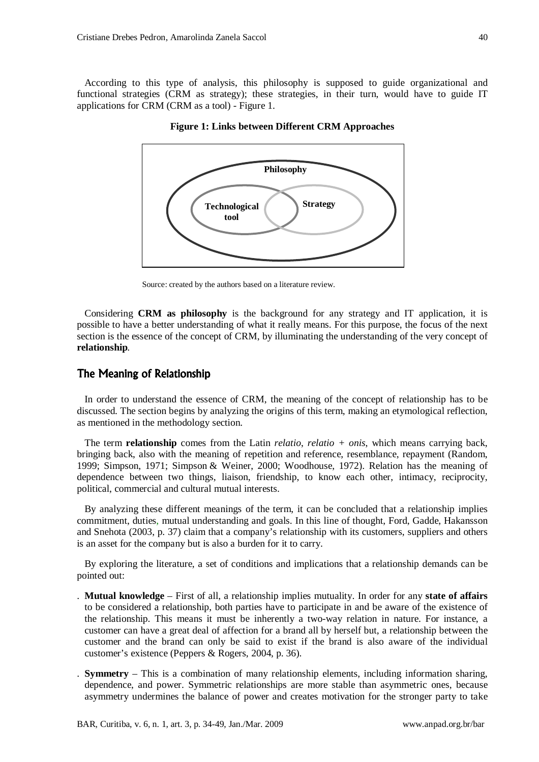According to this type of analysis, this philosophy is supposed to guide organizational and functional strategies (CRM as strategy); these strategies, in their turn, would have to guide IT applications for CRM (CRM as a tool) - Figure 1.



**Figure 1: Links between Different CRM Approaches** 



Considering **CRM as philosophy** is the background for any strategy and IT application, it is possible to have a better understanding of what it really means. For this purpose, the focus of the next section is the essence of the concept of CRM, by illuminating the understanding of the very concept of **relationship***.*

# The Meaning of Relationship

In order to understand the essence of CRM, the meaning of the concept of relationship has to be discussed. The section begins by analyzing the origins of this term, making an etymological reflection, as mentioned in the methodology section.

The term **relationship** comes from the Latin *relatio*, *relatio + onis*, which means carrying back, bringing back, also with the meaning of repetition and reference, resemblance, repayment (Random, 1999; Simpson, 1971; Simpson & Weiner, 2000; Woodhouse, 1972). Relation has the meaning of dependence between two things, liaison, friendship, to know each other, intimacy, reciprocity, political, commercial and cultural mutual interests.

By analyzing these different meanings of the term, it can be concluded that a relationship implies commitment, duties, mutual understanding and goals. In this line of thought, Ford, Gadde, Hakansson and Snehota (2003, p. 37) claim that a company's relationship with its customers, suppliers and others is an asset for the company but is also a burden for it to carry.

By exploring the literature, a set of conditions and implications that a relationship demands can be pointed out:

- . **Mutual knowledge**First of all, a relationship implies mutuality. In order for any **state of affairs** to be considered a relationship, both parties have to participate in and be aware of the existence of the relationship. This means it must be inherently a two-way relation in nature. For instance, a customer can have a great deal of affection for a brand all by herself but, a relationship between the customer and the brand can only be said to exist if the brand is also aware of the individual customer's existence (Peppers & Rogers, 2004, p. 36).
- . **Symmetry** This is a combination of many relationship elements, including information sharing, dependence, and power. Symmetric relationships are more stable than asymmetric ones, because asymmetry undermines the balance of power and creates motivation for the stronger party to take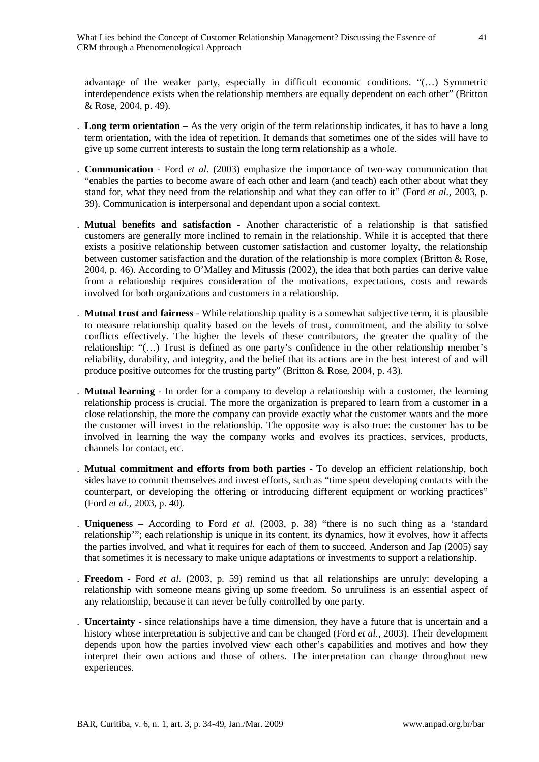advantage of the weaker party, especially in difficult economic conditions. "(…) Symmetric interdependence exists when the relationship members are equally dependent on each other" (Britton & Rose, 2004, p. 49).

- . **Long term orientation** As the very origin of the term relationship indicates, it has to have a long term orientation, with the idea of repetition. It demands that sometimes one of the sides will have to give up some current interests to sustain the long term relationship as a whole.
- . **Communication** Ford *et al.* (2003) emphasize the importance of two-way communication that "enables the parties to become aware of each other and learn (and teach) each other about what they stand for, what they need from the relationship and what they can offer to it" (Ford *et al.*, 2003, p. 39). Communication is interpersonal and dependant upon a social context.
- . **Mutual benefits and satisfaction**Another characteristic of a relationship is that satisfied customers are generally more inclined to remain in the relationship. While it is accepted that there exists a positive relationship between customer satisfaction and customer loyalty, the relationship between customer satisfaction and the duration of the relationship is more complex (Britton & Rose, 2004, p. 46). According to O'Malley and Mitussis (2002), the idea that both parties can derive value from a relationship requires consideration of the motivations, expectations, costs and rewards involved for both organizations and customers in a relationship.
- . **Mutual trust and fairness** While relationship quality is a somewhat subjective term, it is plausible to measure relationship quality based on the levels of trust, commitment, and the ability to solve conflicts effectively. The higher the levels of these contributors, the greater the quality of the relationship: "(…) Trust is defined as one party's confidence in the other relationship member's reliability, durability, and integrity, and the belief that its actions are in the best interest of and will produce positive outcomes for the trusting party" (Britton & Rose, 2004, p. 43).
- . **Mutual learning** In order for a company to develop a relationship with a customer, the learning relationship process is crucial. The more the organization is prepared to learn from a customer in a close relationship, the more the company can provide exactly what the customer wants and the more the customer will invest in the relationship. The opposite way is also true: the customer has to be involved in learning the way the company works and evolves its practices, services, products, channels for contact, etc.
- . **Mutual commitment and efforts from both parties**  To develop an efficient relationship, both sides have to commit themselves and invest efforts, such as "time spent developing contacts with the counterpart, or developing the offering or introducing different equipment or working practices" (Ford *et al.*, 2003, p. 40).
- . **Uniqueness**  According to Ford *et al.* (2003, p. 38) "there is no such thing as a 'standard relationship'"; each relationship is unique in its content, its dynamics, how it evolves, how it affects the parties involved, and what it requires for each of them to succeed. Anderson and Jap (2005) say that sometimes it is necessary to make unique adaptations or investments to support a relationship.
- . **Freedom** Ford *et al.* (2003, p. 59) remind us that all relationships are unruly: developing a relationship with someone means giving up some freedom. So unruliness is an essential aspect of any relationship, because it can never be fully controlled by one party.
- . **Uncertainty**  since relationships have a time dimension, they have a future that is uncertain and a history whose interpretation is subjective and can be changed (Ford *et al.*, 2003). Their development depends upon how the parties involved view each other's capabilities and motives and how they interpret their own actions and those of others. The interpretation can change throughout new experiences.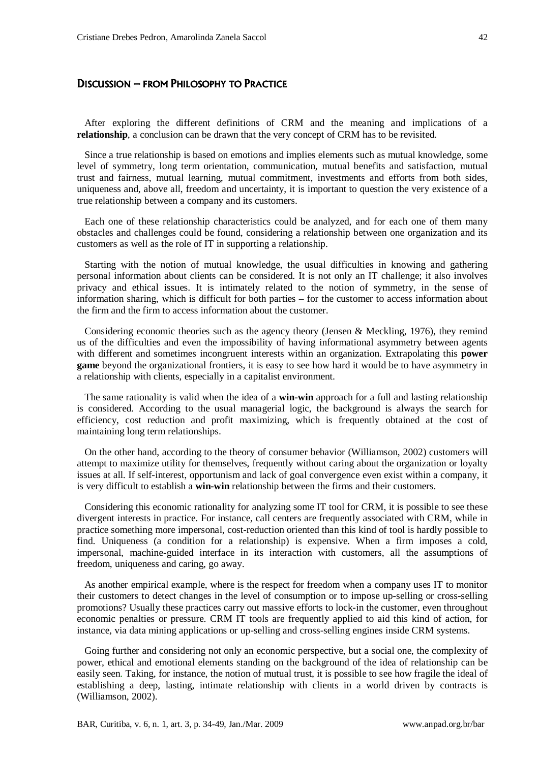#### DISCUSSION – FROM PHILOSOPHY TO PRACTICE

After exploring the different definitions of CRM and the meaning and implications of a **relationship**, a conclusion can be drawn that the very concept of CRM has to be revisited.

Since a true relationship is based on emotions and implies elements such as mutual knowledge, some level of symmetry, long term orientation, communication, mutual benefits and satisfaction, mutual trust and fairness, mutual learning, mutual commitment, investments and efforts from both sides, uniqueness and, above all, freedom and uncertainty, it is important to question the very existence of a true relationship between a company and its customers.

Each one of these relationship characteristics could be analyzed, and for each one of them many obstacles and challenges could be found, considering a relationship between one organization and its customers as well as the role of IT in supporting a relationship.

Starting with the notion of mutual knowledge, the usual difficulties in knowing and gathering personal information about clients can be considered. It is not only an IT challenge; it also involves privacy and ethical issues. It is intimately related to the notion of symmetry, in the sense of information sharing, which is difficult for both parties – for the customer to access information about the firm and the firm to access information about the customer.

Considering economic theories such as the agency theory (Jensen & Meckling, 1976), they remind us of the difficulties and even the impossibility of having informational asymmetry between agents with different and sometimes incongruent interests within an organization. Extrapolating this **power game** beyond the organizational frontiers, it is easy to see how hard it would be to have asymmetry in a relationship with clients, especially in a capitalist environment.

The same rationality is valid when the idea of a **win-win** approach for a full and lasting relationship is considered. According to the usual managerial logic, the background is always the search for efficiency, cost reduction and profit maximizing, which is frequently obtained at the cost of maintaining long term relationships.

On the other hand, according to the theory of consumer behavior (Williamson, 2002) customers will attempt to maximize utility for themselves, frequently without caring about the organization or loyalty issues at all. If self-interest, opportunism and lack of goal convergence even exist within a company, it is very difficult to establish a **win-win** relationship between the firms and their customers.

Considering this economic rationality for analyzing some IT tool for CRM, it is possible to see these divergent interests in practice. For instance, call centers are frequently associated with CRM, while in practice something more impersonal, cost-reduction oriented than this kind of tool is hardly possible to find. Uniqueness (a condition for a relationship) is expensive. When a firm imposes a cold, impersonal, machine-guided interface in its interaction with customers, all the assumptions of freedom, uniqueness and caring, go away.

As another empirical example, where is the respect for freedom when a company uses IT to monitor their customers to detect changes in the level of consumption or to impose up-selling or cross-selling promotions? Usually these practices carry out massive efforts to lock-in the customer, even throughout economic penalties or pressure. CRM IT tools are frequently applied to aid this kind of action, for instance, via data mining applications or up-selling and cross-selling engines inside CRM systems.

Going further and considering not only an economic perspective, but a social one, the complexity of power, ethical and emotional elements standing on the background of the idea of relationship can be easily seen. Taking, for instance, the notion of mutual trust, it is possible to see how fragile the ideal of establishing a deep, lasting, intimate relationship with clients in a world driven by contracts is (Williamson, 2002).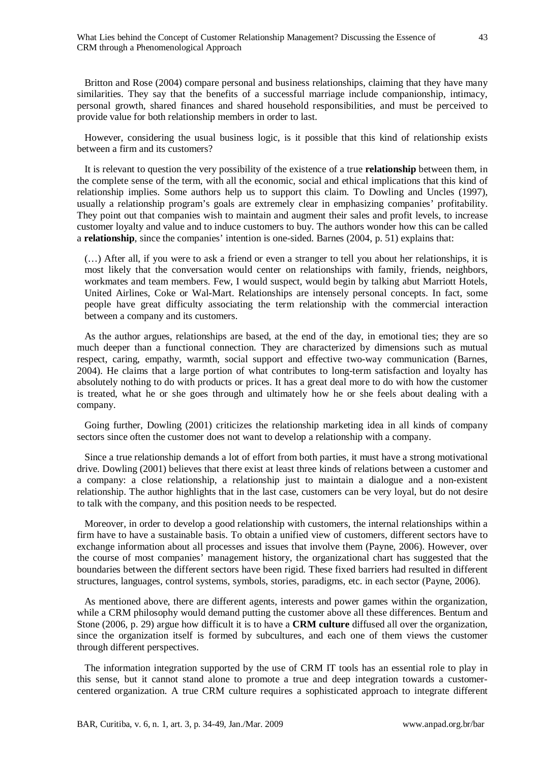Britton and Rose (2004) compare personal and business relationships, claiming that they have many similarities. They say that the benefits of a successful marriage include companionship, intimacy, personal growth, shared finances and shared household responsibilities, and must be perceived to provide value for both relationship members in order to last.

However, considering the usual business logic, is it possible that this kind of relationship exists between a firm and its customers?

It is relevant to question the very possibility of the existence of a true **relationship** between them*,* in the complete sense of the term, with all the economic, social and ethical implications that this kind of relationship implies. Some authors help us to support this claim. To Dowling and Uncles (1997), usually a relationship program's goals are extremely clear in emphasizing companies' profitability. They point out that companies wish to maintain and augment their sales and profit levels, to increase customer loyalty and value and to induce customers to buy. The authors wonder how this can be called a **relationship**, since the companies' intention is one-sided. Barnes (2004, p. 51) explains that:

(…) After all, if you were to ask a friend or even a stranger to tell you about her relationships, it is most likely that the conversation would center on relationships with family, friends, neighbors, workmates and team members. Few, I would suspect, would begin by talking abut Marriott Hotels, United Airlines, Coke or Wal-Mart. Relationships are intensely personal concepts. In fact, some people have great difficulty associating the term relationship with the commercial interaction between a company and its customers.

As the author argues, relationships are based, at the end of the day, in emotional ties; they are so much deeper than a functional connection. They are characterized by dimensions such as mutual respect, caring, empathy, warmth, social support and effective two-way communication (Barnes, 2004). He claims that a large portion of what contributes to long-term satisfaction and loyalty has absolutely nothing to do with products or prices. It has a great deal more to do with how the customer is treated, what he or she goes through and ultimately how he or she feels about dealing with a company.

Going further, Dowling (2001) criticizes the relationship marketing idea in all kinds of company sectors since often the customer does not want to develop a relationship with a company.

Since a true relationship demands a lot of effort from both parties, it must have a strong motivational drive. Dowling (2001) believes that there exist at least three kinds of relations between a customer and a company: a close relationship, a relationship just to maintain a dialogue and a non-existent relationship. The author highlights that in the last case, customers can be very loyal, but do not desire to talk with the company, and this position needs to be respected.

Moreover, in order to develop a good relationship with customers, the internal relationships within a firm have to have a sustainable basis. To obtain a unified view of customers, different sectors have to exchange information about all processes and issues that involve them (Payne, 2006). However, over the course of most companies' management history, the organizational chart has suggested that the boundaries between the different sectors have been rigid. These fixed barriers had resulted in different structures, languages, control systems, symbols, stories, paradigms, etc. in each sector (Payne, 2006).

As mentioned above, there are different agents, interests and power games within the organization, while a CRM philosophy would demand putting the customer above all these differences. Bentum and Stone (2006, p. 29) argue how difficult it is to have a **CRM culture** diffused all over the organization, since the organization itself is formed by subcultures, and each one of them views the customer through different perspectives.

The information integration supported by the use of CRM IT tools has an essential role to play in this sense, but it cannot stand alone to promote a true and deep integration towards a customercentered organization. A true CRM culture requires a sophisticated approach to integrate different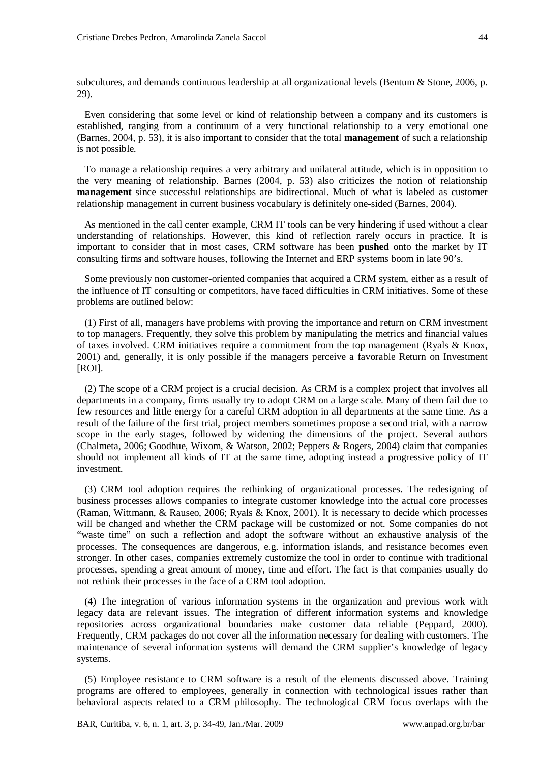subcultures, and demands continuous leadership at all organizational levels (Bentum & Stone, 2006, p. 29).

Even considering that some level or kind of relationship between a company and its customers is established, ranging from a continuum of a very functional relationship to a very emotional one (Barnes, 2004, p. 53), it is also important to consider that the total **management** of such a relationship is not possible.

To manage a relationship requires a very arbitrary and unilateral attitude, which is in opposition to the very meaning of relationship. Barnes (2004, p. 53) also criticizes the notion of relationship **management** since successful relationships are bidirectional. Much of what is labeled as customer relationship management in current business vocabulary is definitely one-sided (Barnes, 2004).

As mentioned in the call center example, CRM IT tools can be very hindering if used without a clear understanding of relationships. However, this kind of reflection rarely occurs in practice. It is important to consider that in most cases, CRM software has been **pushed** onto the market by IT consulting firms and software houses, following the Internet and ERP systems boom in late 90's.

Some previously non customer-oriented companies that acquired a CRM system, either as a result of the influence of IT consulting or competitors, have faced difficulties in CRM initiatives. Some of these problems are outlined below:

(1) First of all, managers have problems with proving the importance and return on CRM investment to top managers. Frequently, they solve this problem by manipulating the metrics and financial values of taxes involved. CRM initiatives require a commitment from the top management (Ryals & Knox, 2001) and, generally, it is only possible if the managers perceive a favorable Return on Investment [ROI].

(2) The scope of a CRM project is a crucial decision. As CRM is a complex project that involves all departments in a company, firms usually try to adopt CRM on a large scale. Many of them fail due to few resources and little energy for a careful CRM adoption in all departments at the same time. As a result of the failure of the first trial, project members sometimes propose a second trial, with a narrow scope in the early stages, followed by widening the dimensions of the project. Several authors (Chalmeta, 2006; Goodhue, Wixom, & Watson, 2002; Peppers & Rogers, 2004) claim that companies should not implement all kinds of IT at the same time, adopting instead a progressive policy of IT investment.

(3) CRM tool adoption requires the rethinking of organizational processes. The redesigning of business processes allows companies to integrate customer knowledge into the actual core processes (Raman, Wittmann, & Rauseo, 2006; Ryals & Knox, 2001). It is necessary to decide which processes will be changed and whether the CRM package will be customized or not. Some companies do not "waste time" on such a reflection and adopt the software without an exhaustive analysis of the processes. The consequences are dangerous, e.g. information islands, and resistance becomes even stronger. In other cases, companies extremely customize the tool in order to continue with traditional processes, spending a great amount of money, time and effort. The fact is that companies usually do not rethink their processes in the face of a CRM tool adoption.

(4) The integration of various information systems in the organization and previous work with legacy data are relevant issues. The integration of different information systems and knowledge repositories across organizational boundaries make customer data reliable (Peppard, 2000). Frequently, CRM packages do not cover all the information necessary for dealing with customers. The maintenance of several information systems will demand the CRM supplier's knowledge of legacy systems.

(5) Employee resistance to CRM software is a result of the elements discussed above. Training programs are offered to employees, generally in connection with technological issues rather than behavioral aspects related to a CRM philosophy. The technological CRM focus overlaps with the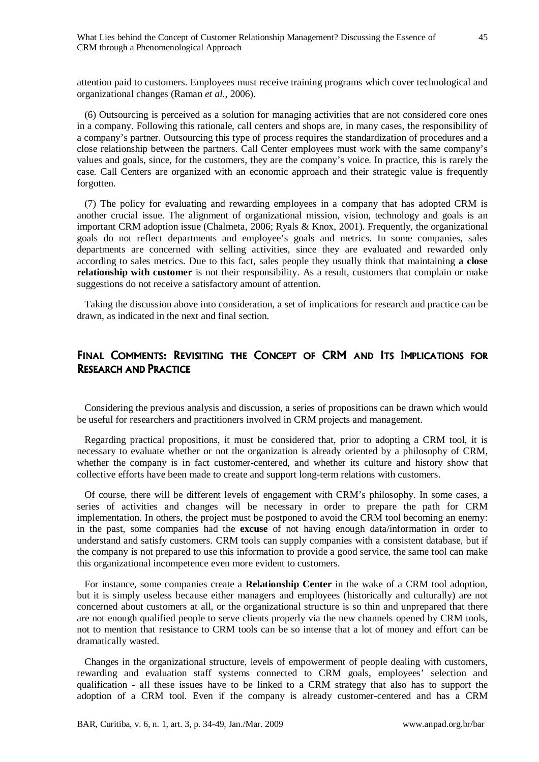attention paid to customers. Employees must receive training programs which cover technological and organizational changes (Raman *et al.*, 2006).

(6) Outsourcing is perceived as a solution for managing activities that are not considered core ones in a company. Following this rationale, call centers and shops are, in many cases, the responsibility of a company's partner. Outsourcing this type of process requires the standardization of procedures and a close relationship between the partners. Call Center employees must work with the same company's values and goals, since, for the customers, they are the company's voice. In practice, this is rarely the case. Call Centers are organized with an economic approach and their strategic value is frequently forgotten.

(7) The policy for evaluating and rewarding employees in a company that has adopted CRM is another crucial issue. The alignment of organizational mission, vision, technology and goals is an important CRM adoption issue (Chalmeta, 2006; Ryals & Knox, 2001). Frequently, the organizational goals do not reflect departments and employee's goals and metrics. In some companies, sales departments are concerned with selling activities, since they are evaluated and rewarded only according to sales metrics. Due to this fact, sales people they usually think that maintaining **a close relationship with customer** is not their responsibility. As a result, customers that complain or make suggestions do not receive a satisfactory amount of attention.

Taking the discussion above into consideration, a set of implications for research and practice can be drawn, as indicated in the next and final section.

# FINAL COMMENTS: REVISITING THE CONCEPT OF CRM AND ITS IMPLICATIONS FOR **RESEARCH AND PRACTICE**

Considering the previous analysis and discussion, a series of propositions can be drawn which would be useful for researchers and practitioners involved in CRM projects and management.

Regarding practical propositions, it must be considered that, prior to adopting a CRM tool, it is necessary to evaluate whether or not the organization is already oriented by a philosophy of CRM, whether the company is in fact customer-centered, and whether its culture and history show that collective efforts have been made to create and support long-term relations with customers.

Of course, there will be different levels of engagement with CRM's philosophy. In some cases, a series of activities and changes will be necessary in order to prepare the path for CRM implementation. In others, the project must be postponed to avoid the CRM tool becoming an enemy: in the past, some companies had the **excuse** of not having enough data/information in order to understand and satisfy customers. CRM tools can supply companies with a consistent database, but if the company is not prepared to use this information to provide a good service, the same tool can make this organizational incompetence even more evident to customers.

For instance, some companies create a **Relationship Center** in the wake of a CRM tool adoption, but it is simply useless because either managers and employees (historically and culturally) are not concerned about customers at all, or the organizational structure is so thin and unprepared that there are not enough qualified people to serve clients properly via the new channels opened by CRM tools, not to mention that resistance to CRM tools can be so intense that a lot of money and effort can be dramatically wasted.

Changes in the organizational structure, levels of empowerment of people dealing with customers, rewarding and evaluation staff systems connected to CRM goals, employees' selection and qualification - all these issues have to be linked to a CRM strategy that also has to support the adoption of a CRM tool. Even if the company is already customer-centered and has a CRM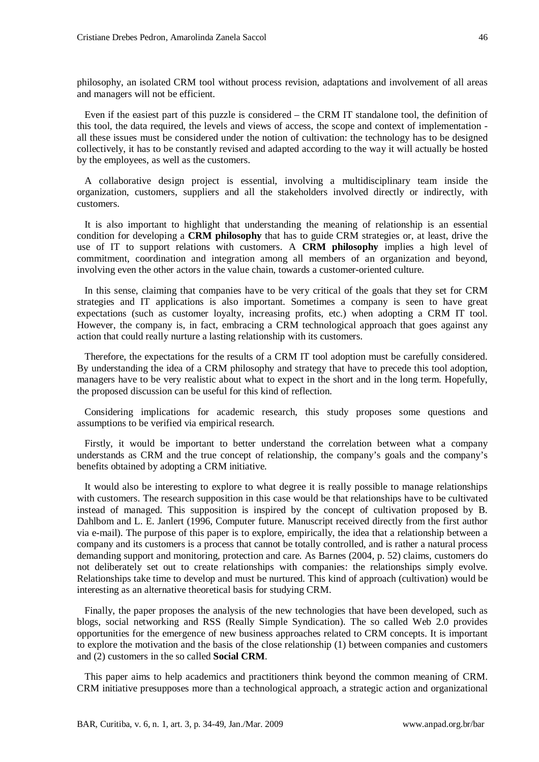philosophy, an isolated CRM tool without process revision, adaptations and involvement of all areas and managers will not be efficient.

Even if the easiest part of this puzzle is considered – the CRM IT standalone tool, the definition of this tool, the data required, the levels and views of access, the scope and context of implementation all these issues must be considered under the notion of cultivation: the technology has to be designed collectively, it has to be constantly revised and adapted according to the way it will actually be hosted by the employees, as well as the customers.

A collaborative design project is essential, involving a multidisciplinary team inside the organization, customers, suppliers and all the stakeholders involved directly or indirectly, with customers.

It is also important to highlight that understanding the meaning of relationship is an essential condition for developing a **CRM philosophy** that has to guide CRM strategies or, at least, drive the use of IT to support relations with customers. A **CRM philosophy** implies a high level of commitment, coordination and integration among all members of an organization and beyond, involving even the other actors in the value chain, towards a customer-oriented culture.

In this sense, claiming that companies have to be very critical of the goals that they set for CRM strategies and IT applications is also important. Sometimes a company is seen to have great expectations (such as customer loyalty, increasing profits, etc.) when adopting a CRM IT tool. However, the company is, in fact, embracing a CRM technological approach that goes against any action that could really nurture a lasting relationship with its customers.

Therefore, the expectations for the results of a CRM IT tool adoption must be carefully considered. By understanding the idea of a CRM philosophy and strategy that have to precede this tool adoption, managers have to be very realistic about what to expect in the short and in the long term. Hopefully, the proposed discussion can be useful for this kind of reflection.

Considering implications for academic research, this study proposes some questions and assumptions to be verified via empirical research.

Firstly, it would be important to better understand the correlation between what a company understands as CRM and the true concept of relationship, the company's goals and the company's benefits obtained by adopting a CRM initiative.

It would also be interesting to explore to what degree it is really possible to manage relationships with customers. The research supposition in this case would be that relationships have to be cultivated instead of managed. This supposition is inspired by the concept of cultivation proposed by B. Dahlbom and L. E. Janlert (1996, Computer future. Manuscript received directly from the first author via e-mail). The purpose of this paper is to explore, empirically, the idea that a relationship between a company and its customers is a process that cannot be totally controlled, and is rather a natural process demanding support and monitoring, protection and care. As Barnes (2004, p. 52) claims, customers do not deliberately set out to create relationships with companies: the relationships simply evolve. Relationships take time to develop and must be nurtured. This kind of approach (cultivation) would be interesting as an alternative theoretical basis for studying CRM.

Finally, the paper proposes the analysis of the new technologies that have been developed, such as blogs, social networking and RSS (Really Simple Syndication). The so called Web 2.0 provides opportunities for the emergence of new business approaches related to CRM concepts. It is important to explore the motivation and the basis of the close relationship (1) between companies and customers and (2) customers in the so called **Social CRM**.

This paper aims to help academics and practitioners think beyond the common meaning of CRM. CRM initiative presupposes more than a technological approach, a strategic action and organizational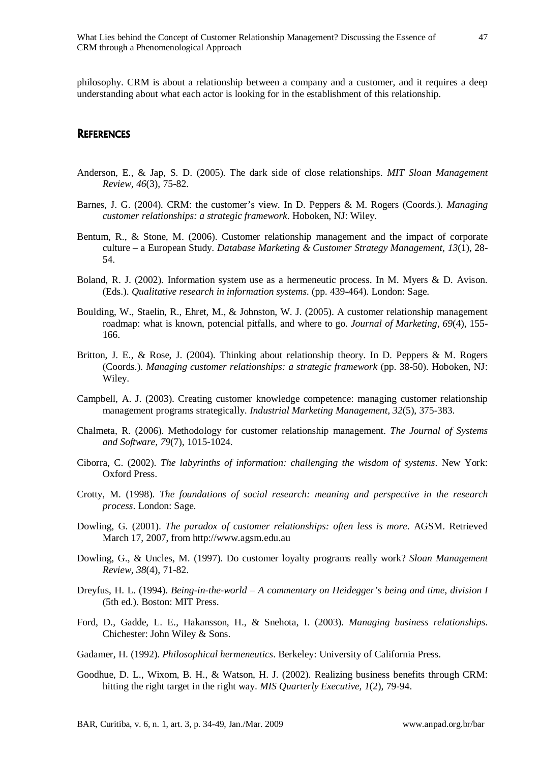philosophy. CRM is about a relationship between a company and a customer, and it requires a deep understanding about what each actor is looking for in the establishment of this relationship.

## **REFERENCES**

- Anderson, E., & Jap, S. D. (2005). The dark side of close relationships. *MIT Sloan Management Review, 46*(3), 75-82.
- Barnes, J. G. (2004). CRM: the customer's view. In D. Peppers & M. Rogers (Coords.). *Managing customer relationships: a strategic framework*. Hoboken, NJ: Wiley.
- Bentum, R., & Stone, M. (2006). Customer relationship management and the impact of corporate culture – a European Study. *Database Marketing & Customer Strategy Management, 13*(1), 28- 54.
- Boland, R. J. (2002). Information system use as a hermeneutic process. In M. Myers & D. Avison. (Eds.). *Qualitative research in information systems.* (pp. 439-464). London: Sage.
- Boulding, W., Staelin, R., Ehret, M., & Johnston, W. J. (2005). A customer relationship management roadmap: what is known, potencial pitfalls, and where to go. *Journal of Marketing, 69*(4), 155- 166.
- Britton, J. E., & Rose, J. (2004). Thinking about relationship theory. In D. Peppers & M. Rogers (Coords.). *Managing customer relationships: a strategic framework* (pp. 38-50). Hoboken, NJ: Wiley.
- Campbell, A. J. (2003). Creating customer knowledge competence: managing customer relationship management programs strategically. *Industrial Marketing Management, 32*(5), 375-383.
- Chalmeta, R. (2006). Methodology for customer relationship management. *The Journal of Systems and Software, 79*(7), 1015-1024.
- Ciborra, C. (2002). *The labyrinths of information: challenging the wisdom of systems*. New York: Oxford Press.
- Crotty, M. (1998). *The foundations of social research: meaning and perspective in the research process*. London: Sage.
- Dowling, G. (2001). *The paradox of customer relationships: often less is more*. AGSM. Retrieved March 17, 2007, from http://www.agsm.edu.au
- Dowling, G., & Uncles, M. (1997). Do customer loyalty programs really work? *Sloan Management Review, 38*(4), 71-82.
- Dreyfus, H. L. (1994). *Being-in-the-world A commentary on Heidegger's being and time, division I* (5th ed.). Boston: MIT Press.
- Ford, D., Gadde, L. E., Hakansson, H., & Snehota, I. (2003). *Managing business relationships*. Chichester: John Wiley & Sons.
- Gadamer, H. (1992). *Philosophical hermeneutics*. Berkeley: University of California Press.
- Goodhue, D. L., Wixom, B. H., & Watson, H. J. (2002). Realizing business benefits through CRM: hitting the right target in the right way. *MIS Quarterly Executive, 1*(2), 79-94.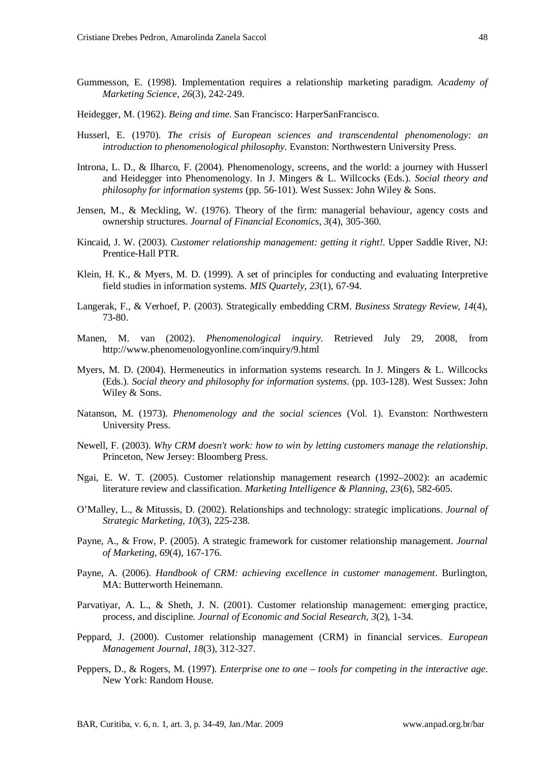- Gummesson, E. (1998). Implementation requires a relationship marketing paradigm. *Academy of Marketing Science, 26*(3), 242-249.
- Heidegger, M. (1962). *Being and time*. San Francisco: HarperSanFrancisco.
- Husserl, E. (1970). *The crisis of European sciences and transcendental phenomenology: an introduction to phenomenological philosophy*. Evanston: Northwestern University Press.
- Introna, L. D., & Ilharco, F. (2004). Phenomenology, screens, and the world: a journey with Husserl and Heidegger into Phenomenology. In J. Mingers & L. Willcocks (Eds.). *Social theory and philosophy for information systems* (pp. 56-101). West Sussex: John Wiley & Sons.
- Jensen, M., & Meckling, W. (1976). Theory of the firm: managerial behaviour, agency costs and ownership structures. *Journal of Financial Economics, 3*(4), 305-360.
- Kincaid, J. W. (2003). *Customer relationship management: getting it right!*. Upper Saddle River, NJ: Prentice-Hall PTR.
- Klein, H. K., & Myers, M. D. (1999). A set of principles for conducting and evaluating Interpretive field studies in information systems. *MIS Quartely, 23*(1), 67-94.
- Langerak, F., & Verhoef, P. (2003). Strategically embedding CRM. *Business Strategy Review, 14*(4), 73-80.
- Manen, M. van (2002). *Phenomenological inquiry*. Retrieved July 29, 2008, from http://www.phenomenologyonline.com/inquiry/9.html
- Myers, M. D. (2004). Hermeneutics in information systems research. In J. Mingers & L. Willcocks (Eds.). *Social theory and philosophy for information systems*. (pp. 103-128). West Sussex: John Wiley & Sons.
- Natanson, M. (1973). *Phenomenology and the social sciences* (Vol. 1). Evanston: Northwestern University Press.
- Newell, F. (2003). *Why CRM doesn't work: how to win by letting customers manage the relationship*. Princeton, New Jersey: Bloomberg Press.
- Ngai, E. W. T. (2005). Customer relationship management research (1992–2002): an academic literature review and classification. *Marketing Intelligence & Planning, 23*(6), 582-605.
- O'Malley, L., & Mitussis, D. (2002). Relationships and technology: strategic implications. *Journal of Strategic Marketing, 10*(3), 225-238.
- Payne, A., & Frow, P. (2005). A strategic framework for customer relationship management. *Journal of Marketing, 69*(4), 167-176.
- Payne, A. (2006). *Handbook of CRM: achieving excellence in customer management*. Burlington, MA: Butterworth Heinemann.
- Parvatiyar, A. L., & Sheth, J. N. (2001). Customer relationship management: emerging practice, process, and discipline. *Journal of Economic and Social Research, 3*(2), 1-34.
- Peppard, J. (2000). Customer relationship management (CRM) in financial services. *European Management Journal, 18*(3), 312-327.
- Peppers, D., & Rogers, M. (1997). *Enterprise one to one tools for competing in the interactive age*. New York: Random House.